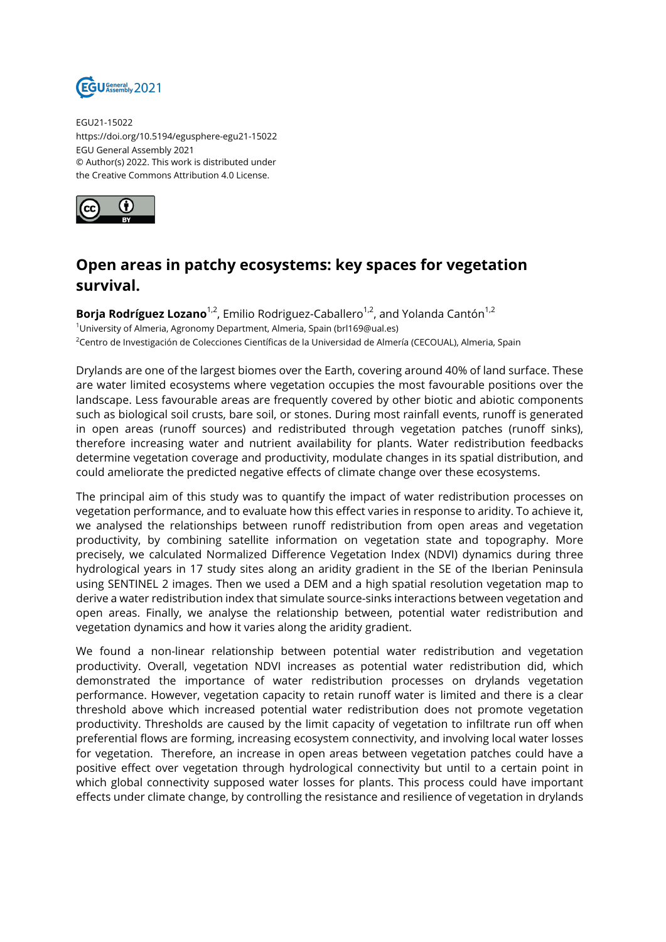

EGU21-15022 https://doi.org/10.5194/egusphere-egu21-15022 EGU General Assembly 2021 © Author(s) 2022. This work is distributed under the Creative Commons Attribution 4.0 License.



## **Open areas in patchy ecosystems: key spaces for vegetation survival.**

**Borja Rodríguez Lozano**<sup>1,2</sup>, Emilio Rodriguez-Caballero<sup>1,2</sup>, and Yolanda Cantón<sup>1,2</sup> <sup>1</sup>University of Almeria, Agronomy Department, Almeria, Spain (brl169@ual.es) <sup>2</sup>Centro de Investigación de Colecciones Científicas de la Universidad de Almería (CECOUAL), Almeria, Spain

Drylands are one of the largest biomes over the Earth, covering around 40% of land surface. These are water limited ecosystems where vegetation occupies the most favourable positions over the landscape. Less favourable areas are frequently covered by other biotic and abiotic components such as biological soil crusts, bare soil, or stones. During most rainfall events, runoff is generated in open areas (runoff sources) and redistributed through vegetation patches (runoff sinks), therefore increasing water and nutrient availability for plants. Water redistribution feedbacks determine vegetation coverage and productivity, modulate changes in its spatial distribution, and could ameliorate the predicted negative effects of climate change over these ecosystems.

The principal aim of this study was to quantify the impact of water redistribution processes on vegetation performance, and to evaluate how this effect varies in response to aridity. To achieve it, we analysed the relationships between runoff redistribution from open areas and vegetation productivity, by combining satellite information on vegetation state and topography. More precisely, we calculated Normalized Difference Vegetation Index (NDVI) dynamics during three hydrological years in 17 study sites along an aridity gradient in the SE of the Iberian Peninsula using SENTINEL 2 images. Then we used a DEM and a high spatial resolution vegetation map to derive a water redistribution index that simulate source-sinks interactions between vegetation and open areas. Finally, we analyse the relationship between, potential water redistribution and vegetation dynamics and how it varies along the aridity gradient.

We found a non-linear relationship between potential water redistribution and vegetation productivity. Overall, vegetation NDVI increases as potential water redistribution did, which demonstrated the importance of water redistribution processes on drylands vegetation performance. However, vegetation capacity to retain runoff water is limited and there is a clear threshold above which increased potential water redistribution does not promote vegetation productivity. Thresholds are caused by the limit capacity of vegetation to infiltrate run off when preferential flows are forming, increasing ecosystem connectivity, and involving local water losses for vegetation. Therefore, an increase in open areas between vegetation patches could have a positive effect over vegetation through hydrological connectivity but until to a certain point in which global connectivity supposed water losses for plants. This process could have important effects under climate change, by controlling the resistance and resilience of vegetation in drylands